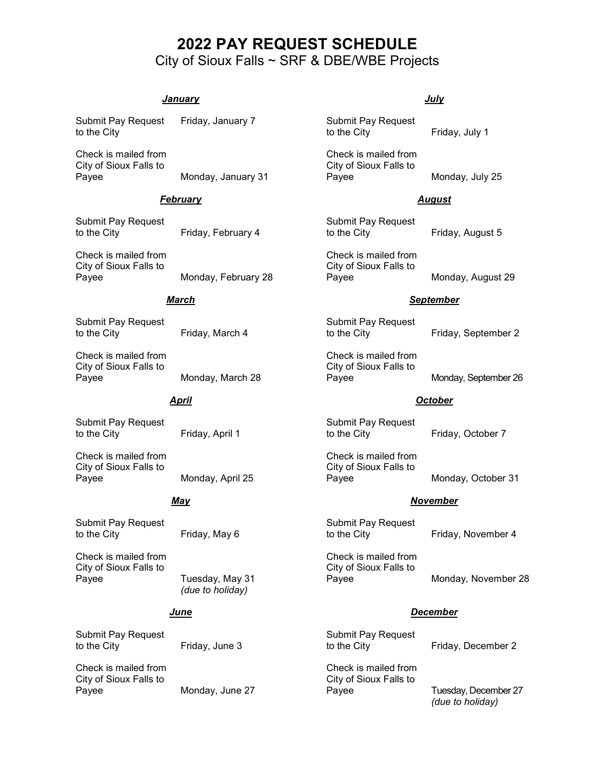# **2022 PAY REQUEST SCHEDULE** City of Sioux Falls ~ SRF & DBE/WBE Projects

## *January*

Submit Pay Request Friday, January 7 to the City

Check is mailed from City of Sioux Falls to Payee Monday, January 31

#### *February*

Submit Pay Request to the City **Friday**, February 4

Check is mailed from City of Sioux Falls to Monday, February 28

## *March*

Submit Pay Request to the City Friday, March 4

Check is mailed from City of Sioux Falls to Payee Monday, March 28

#### *April*

Submit Pay Request to the City Friday, April 1

Check is mailed from City of Sioux Falls to Payee Monday, April 25

#### *May*

Submit Pay Request to the City Friday, May 6

Check is mailed from City of Sioux Falls to Payee Tuesday, May 31

*(due to holiday)*

## *June*

Submit Pay Request to the City Friday, June 3

Check is mailed from City of Sioux Falls to Payee Monday, June 27 *July*

Submit Pay Request to the City Friday, July 1

Check is mailed from City of Sioux Falls to Payee Monday, July 25

#### *August*

Submit Pay Request to the City **Friday**, August 5

Check is mailed from City of Sioux Falls to Monday, August 29

#### *September*

Submit Pay Request to the City Friday, September 2

Check is mailed from City of Sioux Falls to Payee Monday, September 26

#### *October*

Submit Pay Request to the City Friday, October 7

Check is mailed from City of Sioux Falls to Payee Monday, October 31

#### *November*

Submit Pay Request to the City Friday, November 4

Check is mailed from City of Sioux Falls to Payee Monday, November 28

## *December*

Submit Pay Request to the City Friday, December 2

Check is mailed from City of Sioux Falls to Payee Tuesday, December 27

*(due to holiday)*